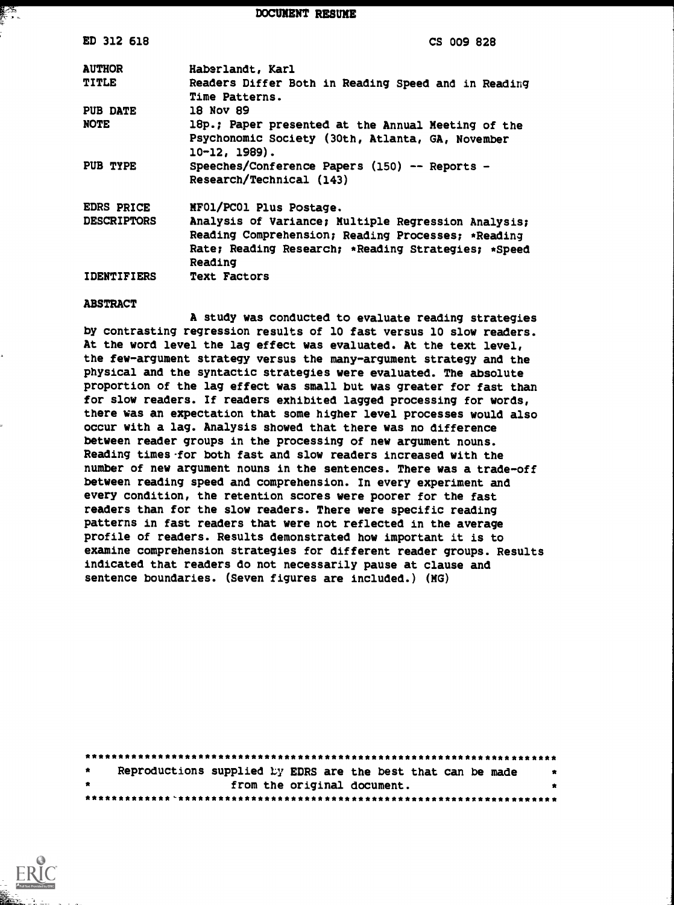DOCUMENT RESUME

| ED 312 618         | CS 009 828                                                                                                                                                                  |
|--------------------|-----------------------------------------------------------------------------------------------------------------------------------------------------------------------------|
| <b>AUTHOR</b>      | Haberlandt, Karl                                                                                                                                                            |
| <b>TITLE</b>       | Readers Differ Both in Reading Speed and in Reading<br>Time Patterns.                                                                                                       |
| PUB DATE           | 18 Nov 89                                                                                                                                                                   |
| <b>NOTE</b>        | 18p.; Paper presented at the Annual Meeting of the<br>Psychonomic Society (30th, Atlanta, GA, November<br>$10 - 12, 1989$ .                                                 |
| PUB TYPE           | Speeches/Conference Papers (150) -- Reports -<br>Research/Technical (143)                                                                                                   |
| <b>EDRS PRICE</b>  | MF01/PC01 Plus Postage.                                                                                                                                                     |
| <b>DESCRIPTORS</b> | Analysis of Variance; Multiple Regression Analysis;<br>Reading Comprehension; Reading Processes; *Reading<br>Rate; Reading Research; *Reading Strategies; *Speed<br>Reading |
| <b>IDENTIFIERS</b> | <b>Text Factors</b>                                                                                                                                                         |

#### ABSTRACT

∦∕≤

A study was conducted to evaluate reading strategies by contrasting regression results of 10 fast versus 10 slow readers. At the word level the lag effect was evaluated. At the text level, the few-argument strategy versus the many-argument strategy and the physical and the syntactic strategies were evaluated. The absolute proportion of the lag effect was small but was greater for fast than for slow readers. If readers exhibited lagged processing for words, there was an expectation that some higher level processes would also occur with a lag. Analysis showed that there was no difference between reader groups in the processing of new argument nouns. Reading times-for both fast and slow readers increased with the number of new argument nouns in the sentences. There was a trade-off between reading speed and comprehension. In every experiment and every condition, the retention scores were poorer for the fast readers than for the slow readers. There were specific reading patterns in fast readers that were not reflected in the average profile of readers. Results demonstrated how important it is to examine comprehension strategies for different reader groups. Results indicated that readers do not necessarily pause at clause and sentence boundaries. (Seven figures are included.) (MG)

| $\star$ | Reproductions supplied by EDRS are the best that can be made<br>* |  |  |  |
|---------|-------------------------------------------------------------------|--|--|--|
| $\cdot$ | from the original document.                                       |  |  |  |
|         |                                                                   |  |  |  |

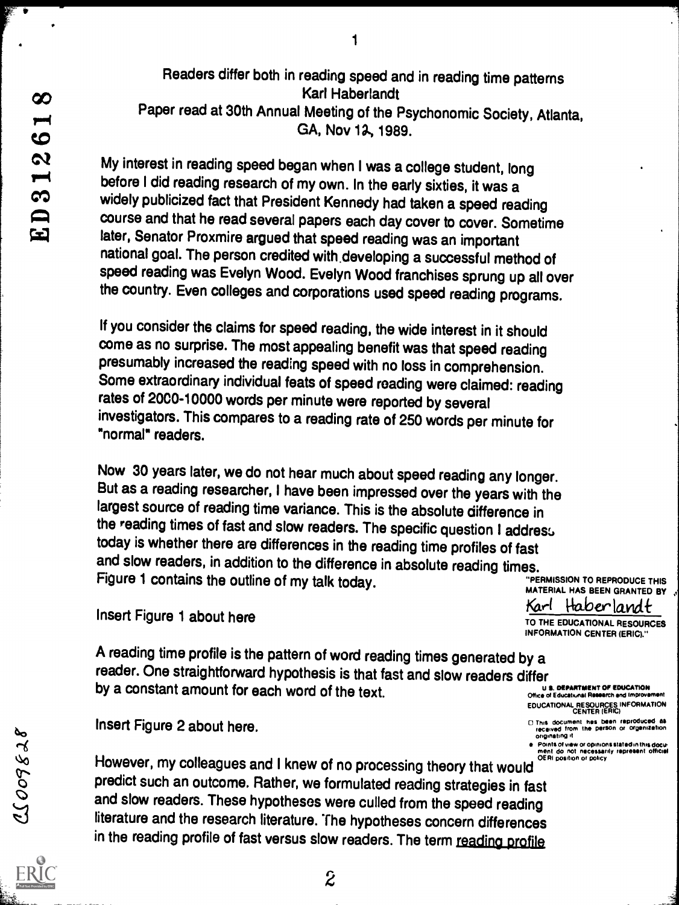Readers differ both in reading speed and in reading time patterns Karl Haberlandt Paper read at 30th Annual Meeting of the Psychonomic Society, Atlanta, GA, Nov 12, 1989.

 $\mathbf{1}$ 

My interest in reading speed began when I was a college student, long before I did reading research of my own. In the early sixties, it was a widely publicized fact that President Kennedy had taken a speed reading course and that he read several papers each day cover to cover. Sometime later, Senator Proxmire argued that speed reading was an important national goal. The person credited with.developing a successful method of speed reading was Evelyn Wood. Evelyn Wood franchises sprung up all over the country. Even colleges and corporations used speed reading programs.

If you consider the claims for speed reading, the wide interest in it should come as no surprise. The most appealing benefit was that speed reading presumably increased the reading speed with no loss in comprehension. Some extraordinary individual feats of speed reading were claimed: reading rates of 2000-10000 words per minute were reported by several investigators. This compares to a reading rate of 250 words per minute for "normal" readers.

Now 30 years later, we do not hear much about speed reading any longer. But as a reading researcher, I have been impressed over the years with the largest source of reading time variance. This is the absolute difference in the reading times of fast and slow readers. The specific question I address today is whether there are differences in the reading time profiles of fast and slow readers, in addition to the difference in absolute reading times. Figure 1 contains the outline of my talk today. "PERMISSION TO REPRODUCE THIS

A reading time profile is the pattern of word reading times generated by a reader. One straightforward hypothesis is that fast and slow readers differ<br>by a constant amount for each word of the text. by a constant amount for each word of the text.

ei Points of view or opinions stated in this docu-<br>ment do not necessarily represent official of view or policy in the controller of capacity represent official<br>Monte of a controller of capacity of the controller or positi However, my colleagues and I knew of no processing theory that would "<br>predict such an outcome. Rather, we formulated reading strategies in fast and slow readers. These hypotheses were culled from the speed reading literature and the research literature. The hypotheses concern differences in the reading profile of fast versus slow readers. The term reading profile

2



INFORMATION CENTER (ERIC)."

EDUCATIONAL RESOURCES INFORMATION<br>CENTER (ERIC)

- 0 This document has been reproduced as Insert Figure 2 about here. received from Ins person or OrgemlitiOn <sup>60</sup> °mowing d
	-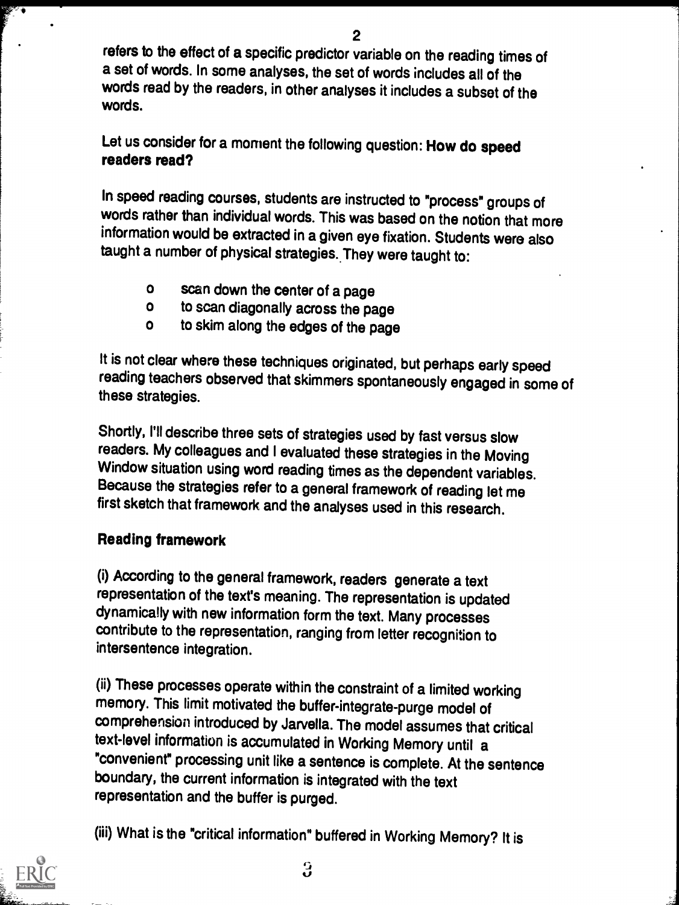refers to the effect of a specific predictor variable on the reading times of a set of words. In some analyses, the set of words includes all of the words read by the readers, in other analyses it includes a subset of the words.

Let us consider for a moment the following question: How do speed readers read?

In speed reading courses, students are instructed to "process" groups of words rather than individual words. This was based on the notion that more information would be extracted in a given eye fixation. Students were also taught a number of physical strategies. They were taught to:

- o scan down the center of a page<br>o to scan diagonally across the pa
- o to scan diagonally across the page<br>o to skim along the edges of the page
- to skim along the edges of the page

It is not clear where these techniques originated, but perhaps early speed reading teachers observed that skimmers spontaneously engaged in some of these strategies.

Shortly, I'll describe three sets of strategies used by fast versus slow readers. My colleagues and I evaluated these strategies in the Moving Window situation using word reading times as the dependent variables. Because the strategies refer to a general framework of reading let me first sketch that framework and the analyses used in this research.

### Reading framework

(i) According to the general framework, readers generate a text representation of the text's meaning. The representation is updated dynamically with new information form the text. Many processes contribute to the representation, ranging from letter recognition to intersentence integration.

(ii) These processes operate within the constraint of a limited working memory. This limit motivated the buffer-integrate-purge model of comprehension introduced by Jarvella. The model assumes that critical text-level information is accumulated in Working Memory until a "convenient" processing unit like a sentence is complete. At the sentence boundary, the current information is integrated with the text representation and the buffer is purged.

(iii) What is the "critical information" buffered in Working Memory? It is

 $\boldsymbol{3}$ 

 $\overline{\mathbf{Q}}$  and  $\overline{\mathbf{Q}}$ 

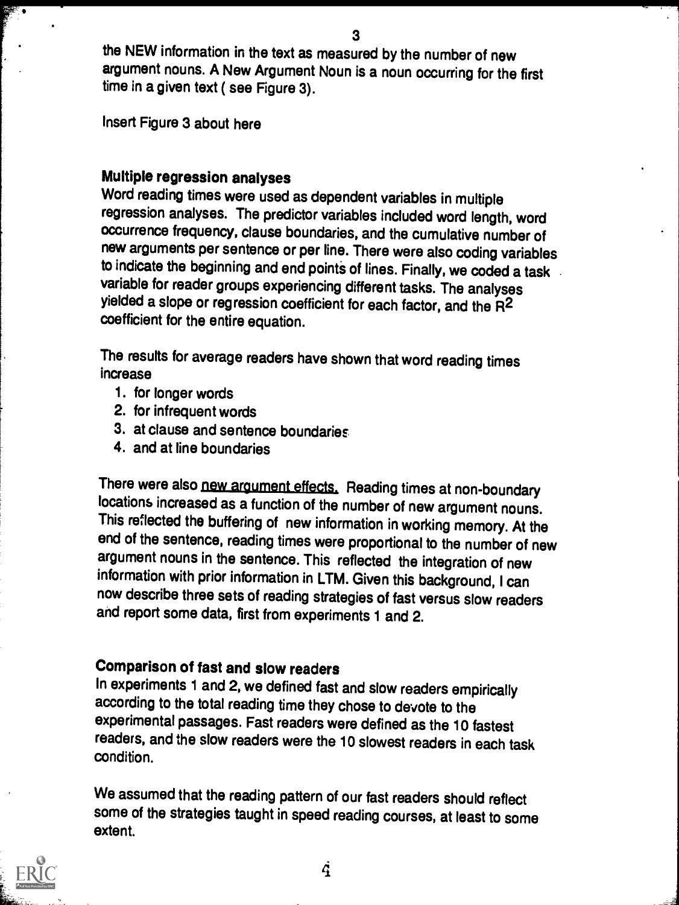the NEW information in the text as measured by the number of new argument nouns. A New Argument Noun is a noun occurring for the first time in a given text ( see Figure 3).

Insert Figure 3 about here

#### Multiple regression analyses

Word reading times were used as dependent variables in multiple regression analyses. The predictor variables included word length, word occurrence frequency, clause boundaries, and the cumulative number of new arguments per sentence or per line. There were also coding variables to indicate the beginning and end points of lines. Finally, we coded a task variable for reader groups experiencing different tasks. The analyses yielded a slope or regression coefficient for each factor, and the R2 coefficient for the entire equation.

The results for average readers have shown that word reading times increase

- 1. for longer words
- 2. for infrequent words
- 3. at clause and sentence boundaries
- 4. and at line boundaries

There were also new argument effects. Reading times at non-boundary locations increased as a function of the number of new argument nouns. This reflected the buffering of new information in working memory. At the end of the sentence, reading times were proportional to the number of new argument nouns in the sentence. This reflected the integration of new information with prior information in LTM. Given this background, I can now describe three sets of reading strategies of fast versus slow readers and report some data, first from experiments 1 and 2.

## Comparison of fast and slow readers

In experiments 1 and 2, we defined fast and slow readers empirically according to the total reading time they chose to devote to the experimental passages. Fast readers were defined as the 10 fastest readers, and the slow readers were the 10 slowest readers in each task condition.

We assumed that the reading pattern of our fast readers should reflect some of the strategies taught in speed reading courses, at least to some extent.

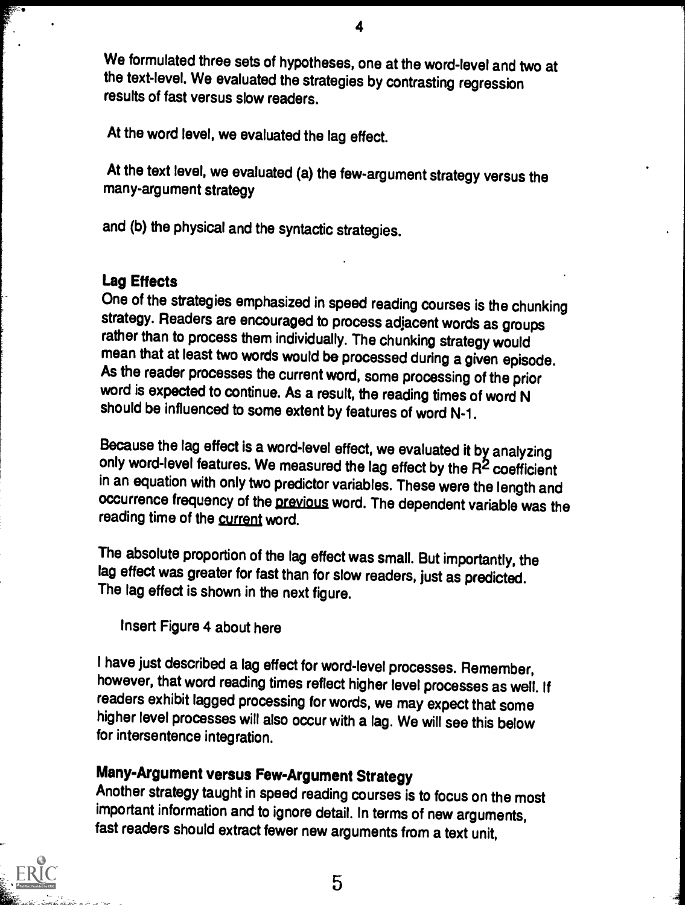We formulated three sets of hypotheses, one at the word-level and two at the text-level. We evaluated the strategies by contrasting regression results of fast versus slow readers.

At the word level, we evaluated the lag effect.

At the text level, we evaluated (a) the few-argument strategy versus the many-argument strategy

and (b) the physical and the syntactic strategies.

### Lag Effects

One of the strategies emphasized in speed reading courses is the chunking strategy. Readers are encouraged to process adjacent words as groups rather than to process them individually. The chunking strategy would mean that at least two words would be processed during a given episode. As the reader processes the current word, some processing of the prior word is expected to continue. As a result, the reading times of word N should be influenced to some extent by features of word N-1.

Because the lag effect is a word-level effect, we evaluated it by analyzing only word-level features. We measured the lag effect by the R<sup>2</sup> coefficient in an equation with only two predictor variables. These were the length and occurrence frequency of the previous word. The dependent variable was the reading time of the current word.

The absolute proportion of the lag effect was small. But importantly, the lag effect was greater for fast than for slow readers, just as predicted. The lag effect is shown in the next figure.

Insert Figure 4 about here

I have just described a lag effect for word-level processes. Remember, however, that word reading times reflect higher level processes as well. If readers exhibit lagged processing for words, we may expect that some higher level processes will also occur with a lag. We will see this below for intersentence integration.

## Many-Argument versus Few-Argument Strategy

Another strategy taught in speed reading courses is to focus on the most important information and to ignore detail. In terms of new arguments, fast readers should extract fewer new arguments from a text unit,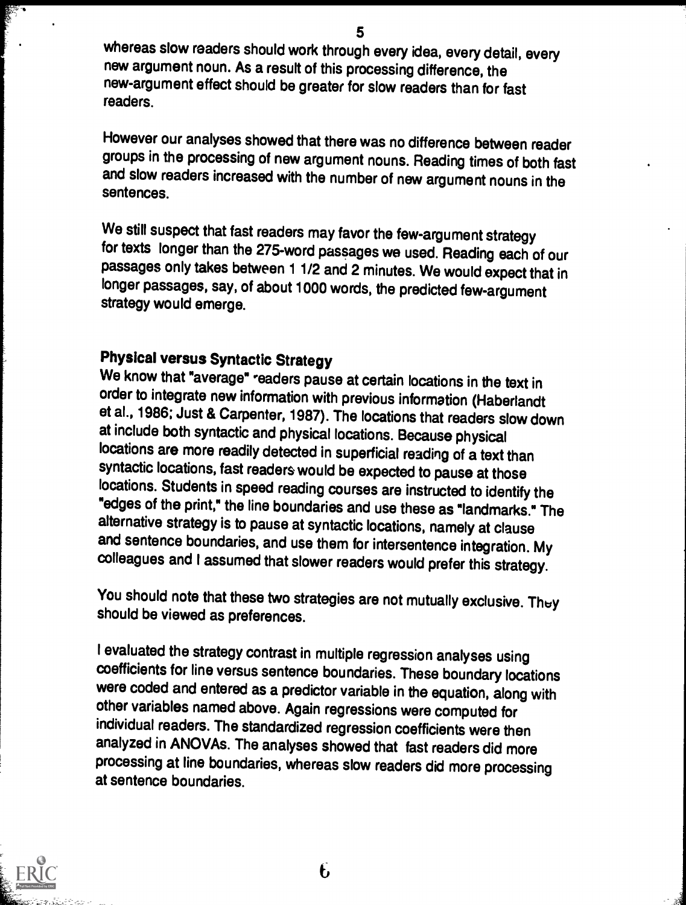whereas slow readers should work through every idea, every detail, every new argument noun. As a result of this processing difference, the new-argument effect should be greater for slow readers than for fast readers.

However our analyses showed that there was no difference between reader groups in the processing of new argument nouns. Reading times of both fast and slow readers increased with the number of new argument nouns in the sentences.

We still suspect that fast readers may favor the few-argument strategy for texts longer than the 275-word passages we used. Reading each of our passages only takes between 1 1/2 and 2 minutes. We would expect that in longer passages, say, of about 1000 words, the predicted few-argument strategy would emerge.

# Physical versus Syntactic Strategy

We know that "average" readers pause at certain locations in the text in order to integrate new information with previous information (Haberlandt et al., 1986; Just & Carpenter, 1987). The locations that readers slow down at include both syntactic and physical locations. Because physical locations are more readily detected in superficial reading of a text than syntactic locations, fast readers would be expected to pause at those locations. Students in speed reading courses are instructed to identify the "edges of the print," the line boundaries and use these as "landmarks." The alternative strategy is to pause at syntactic locations, namely at clause and sentence boundaries, and use them for intersentence integration. My colleagues and I assumed that slower readers would prefer this strategy.

You should note that these two strategies are not mutually exclusive. They should be viewed as preferences.

I evaluated the strategy contrast in multiple regression analyses using coefficients for line versus sentence boundaries. These boundary locations were coded and entered as a predictor variable in the equation, along with other variables named above. Again regressions were computed for individual readers. The standardized regression coefficients were then analyzed in ANOVAs. The analyses showed that fast readers did more processing at line boundaries, whereas slow readers did more processing at sentence boundaries.

 $\mathbf{f}$ 

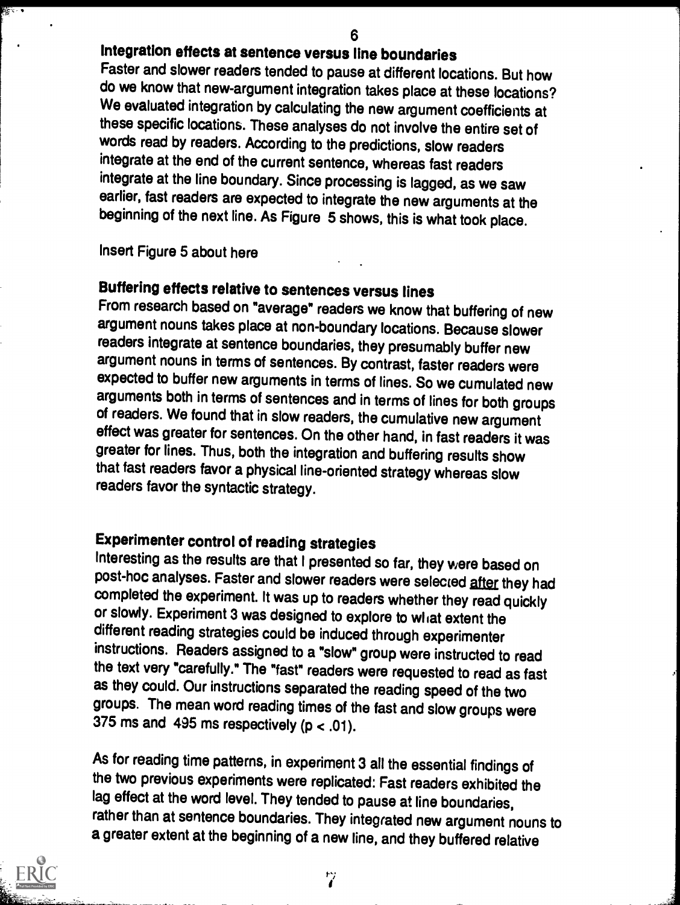### Integration effects at sentence versus line boundaries

Faster and slower readers tended to pause at different locations. But how do we know that new-argument integration takes place at these locations? We evaluated integration by calculating the new argument coefficients at these specific locations. These analyses do not involve the entire set of words read by readers. According to the predictions, slow readers integrate at the end of the current sentence, whereas fast readers integrate at the line boundary. Since processing is lagged, as we saw earlier, fast readers are expected to integrate the new arguments at the beginning of the next line. As Figure 5 shows, this is what took place.

#### Insert Figure 5 about here

# Buffering effects relative to sentences versus lines

From research based on "average" readers we know that buffering of new argument nouns takes place at non-boundary locations. Because slower readers integrate at sentence boundaries, they presumably buffer new argument nouns in terms of sentences. By contrast, faster readers were expected to buffer new arguments in terms of lines. So we cumulated new<br>arguments both in terms of sentences and in terms of lines for both groups of readers. We found that in slow readers, the cumulative new argument effect was greater for sentences. On the other hand, in fast readers it was greater for lines. Thus, both the integration and buffering results show that fast readers favor a physical line-oriented strategy whereas slow readers favor the syntactic strategy.

## Experimenter control of reading strategies

Interesting as the results are that I presented so far, they were based on post-hoc analyses. Faster and slower readers were selected after they had completed the experiment. It was up to readers whether they read quickly or slowly. Experiment 3 was designed to explore to wliat extent the different reading strategies could be induced through experimenter instructions. Readers assigned to a "slow" group were instructed to read the text very "carefully." The "fast" readers were requested to read as fast as they could. Our instructions separated the reading speed of the two groups. The mean word reading times of the fast and slow groups were 375 ms and 495 ms respectively ( $p < .01$ ).

As for reading time patterns, in experiment 3 all the essential findings of the two previous experiments were replicated: Fast readers exhibited the lag effect at the word level. They tended to pause at line boundaries, rather than at sentence boundaries. They integrated new argument nouns to a greater extent at the beginning of a new line, and they buffered relative



क्कि

ヴ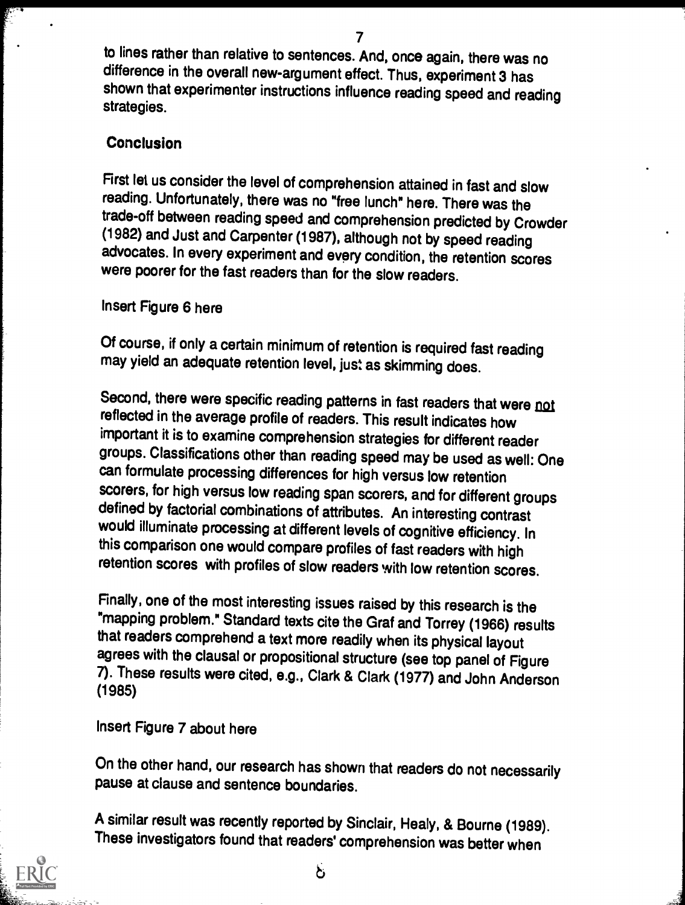to lines rather than relative to sentences. And, once again, there was no difference in the overall new-argument effect. Thus, experiment 3 has shown that experimenter instructions influence reading speed and reading strategies.

### **Conclusion**

First let us consider the level of comprehension attained in fast and slow reading. Unfortunately, there was no "free lunch" here. There was the trade-off between reading speed and comprehension predicted by Crowder (1982) and Just and Carpenter (1987), although not by speed reading advocates. In every experiment and every condition, the retention scores were poorer for the fast readers than for the slow readers.

### Insert Figure 6 here

Of course, if only a certain minimum of retention is required fast reading may yield an adequate retention level, just as skimming does.

Second, there were specific reading patterns in fast readers that were not reflected in the average profile of readers. This result indicates how important it is to examine comprehension strategies for different reader groups. Classifications other than reading speed may be used as well: One can formulate processing differences for high versus low retention<br>scorers, for high versus low reading span scorers, and for different groups defined by factorial combinations of attributes. An interesting contrast would illuminate processing at different levels of cognitive efficiency. In this comparison one would compare profiles of fast readers with high retention scores with profiles of slow readers with low retention scores.

Finally, one of the most interesting issues raised by this research is the "mapping problem." Standard texts cite the Graf and Torrey (1966) results that readers comprehend a text more readily when its physical layout agrees with the clausal or propositional structure (see top panel of Figure 7). These results were cited, e.g., Clark & Clark (1977) and John Anderson (1985)

### Insert Figure 7 about here

On the other hand, our research has shown that readers do not necessarily pause at clause and sentence boundaries.

A similar result was recently reported by Sinclair, Healy, & Bourne (1989). These investigators found that readers' comprehension was better when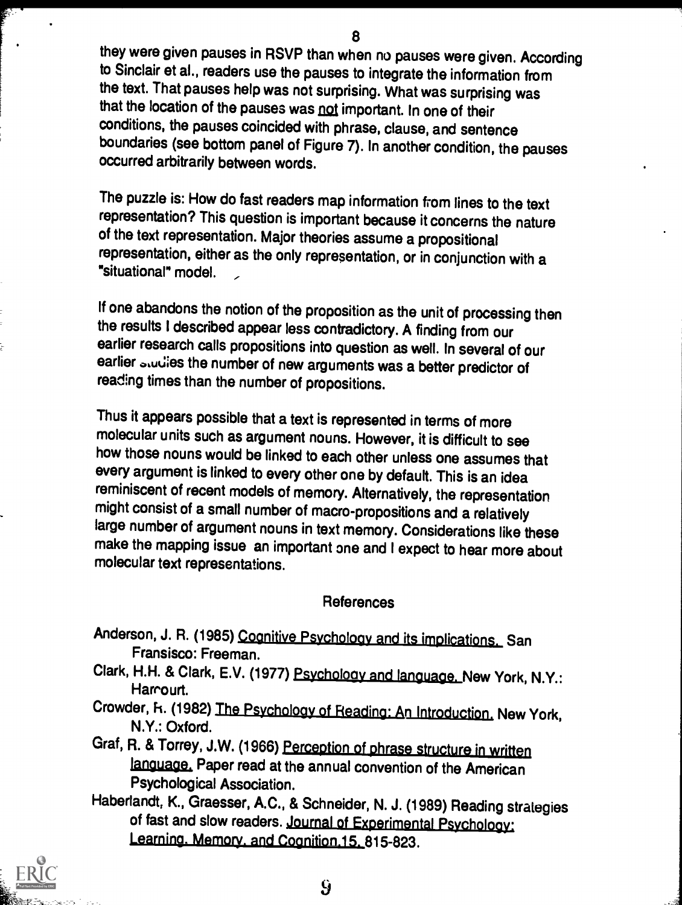they were given pauses in RSVP than when no pauses were given. According to Sinclair et al., readers use the pauses to integrate the information from the text. That pauses help was not surprising. What was surprising was that the location of the pauses was not important. In one of their conditions, the pauses coincided with phrase, clause, and sentence boundaries (see bottom panel of Figure 7). In another condition, the pauses occurred arbitrarily between words.

The puzzle is: How do fast readers map information from lines to the text representation? This question is important because it concerns the nature of the text representation. Major theories assume a propositional representation, either as the only representation, or in conjunction with a "situational" model. ,

If one abandons the notion of the proposition as the unit of processing then the results I described appear less contradictory. A finding from our earlier research calls propositions into question as well. In several of our earlier studies the number of new arguments was a better predictor of reading times than the number of propositions.

Thus it appears possible that a text is represented in terms of more molecular units such as argument nouns. However, it is difficult to see how those nouns would be linked to each other unless one assumes that every argument is linked to every other one by default. This is an idea reminiscent of recent models of memory. Alternatively, the representation might consist of a small number of macro-propositions and a relatively large number of argument nouns in text memory. Considerations like these make the mapping issue an important one and I expect to hear more about molecular text representations.

#### References

- Anderson, J. R. (1985) Cognitive Psychology and its implications. San Fransisco: Freeman.
- Clark, H.H. & Clark, E.V. (1977) Psychology and language. New York, N.Y.: Harrourt.
- Crowder, h. (1982) The Psycholoav of Reading: An Introduction, New York, N.Y.: Oxford.
- Graf, R. & Torrey, J.W. (1966) Perception of phrase structure in written language. Paper read at the annual convention of the American Psychological Association.
- Haberlandt, K., Graesser, A.C., & Schneider, N. J. (1989) Reading strategies of fast and slow readers. Journal of Experimental Psychology:<br>Learning. Memory. and Cognition.15. 815-823.

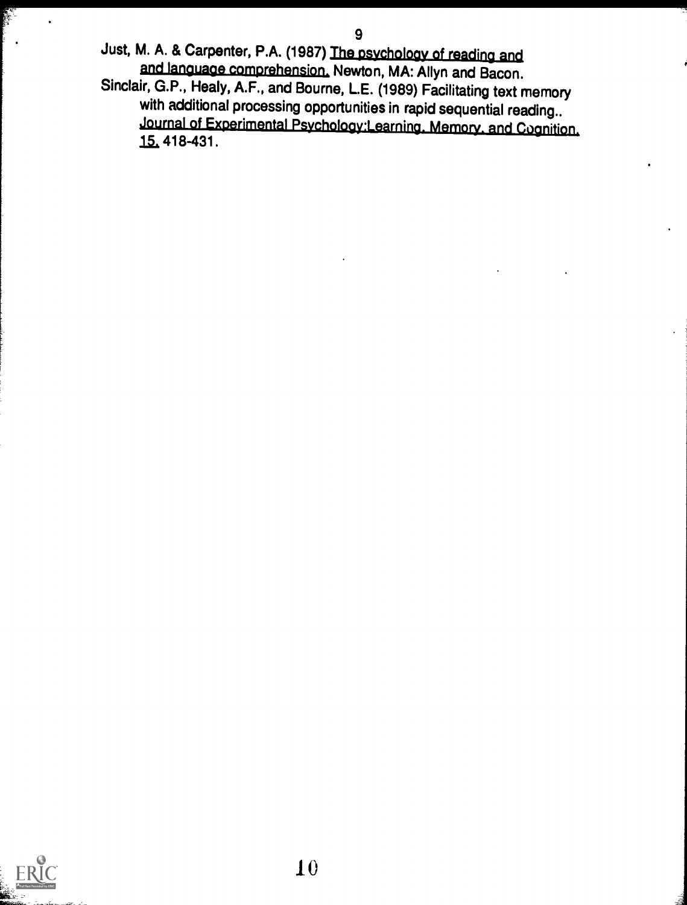Just, M. A. & Carpenter, P.A. (1987) The psychology of reading and and language comprehension, Newton, MA: Allyn and Bacon.

Sinclair, G.P., Healy, A.F., and Bourne, L.E. (1989) Facilitating text memory with additional processing opportunities in rapid sequential reading.. journal of Experimental Psychology:Learning. Memory. and Cognition, 15, 418-431.

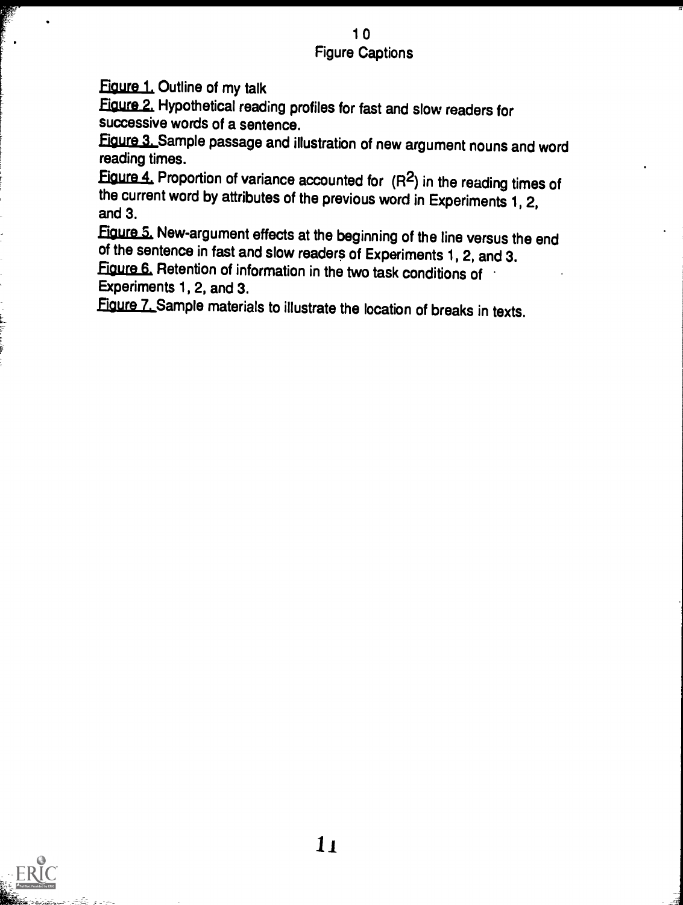### 10 Figure Captions

Figure 1. Outline of my talk

Figure 2, Hypothetical reading profiles for fast and slow readers for successive words of a sentence.

Figure 3. Sample passage and illustration of new argument nouns and word reading times.

Figure  $4$ , Proportion of variance accounted for  $(R<sup>2</sup>)$  in the reading times of the current word by attributes of the previous word in Experiments 1, 2, and 3.

Figure 5. New-argument effects at the beginning of the line versus the end of the sentence in fast and slow readers of Experiments 1, 2, and 3.

Figure 6, Retention of information in the two task conditions of Experiments 1, 2, and 3.

Figure 7. Sample materials to illustrate the location of breaks in texts.

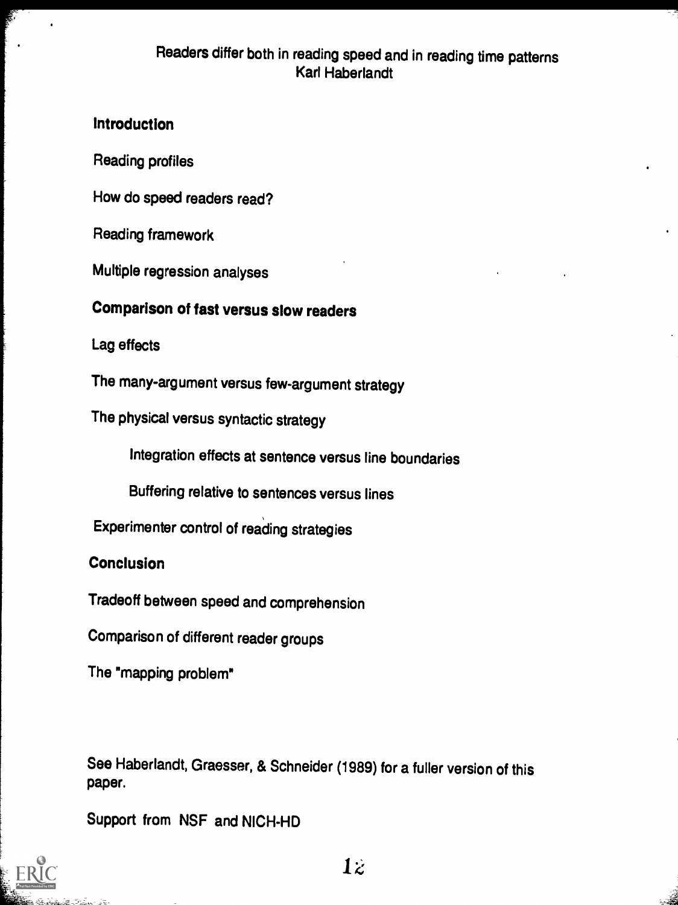### Readers differ both in reading speed and in reading time patterns Karl Haberlandt

### Introduction

Reading profiles

How do speed readers read?

Reading framework

Multiple regression analyses

# Comparison of fast versus slow readers

Lag effects

The many-argument versus few-argument strategy

The physical versus syntactic strategy

Integration effects at sentence versus line boundaries

Buffering relative to sentences versus lines

Experimenter control of reading strategies

**Conclusion** 

Tradeoff between speed and comprehension

Comparison of different reader groups

The "mapping problem"

See Haberlandt, Graesser, & Schneider (1989) for a fuller version of this paper.

Support from NSF and NICH-HD



 $1\ddot{z}$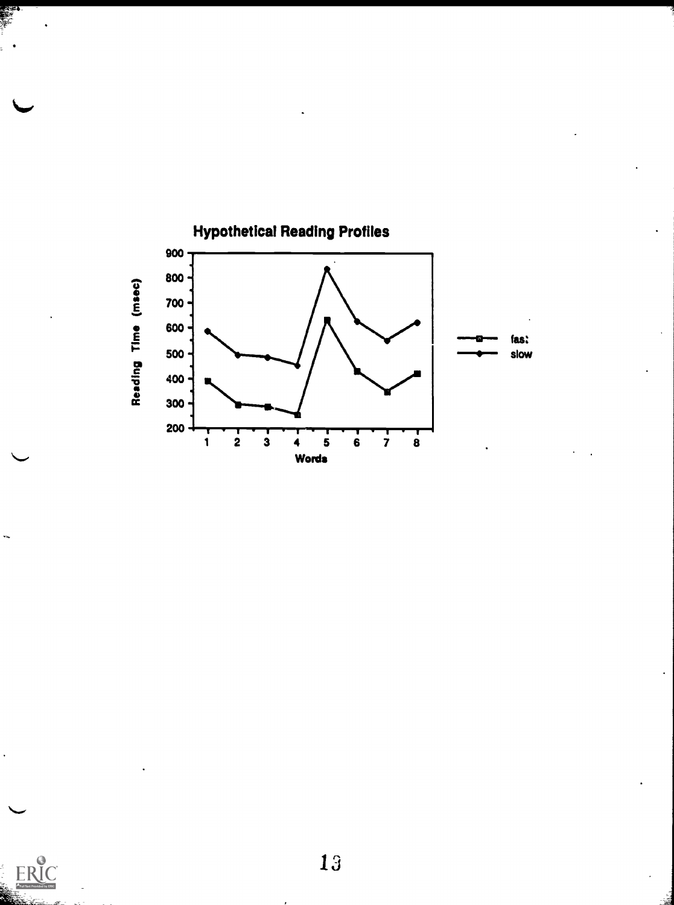

ERIC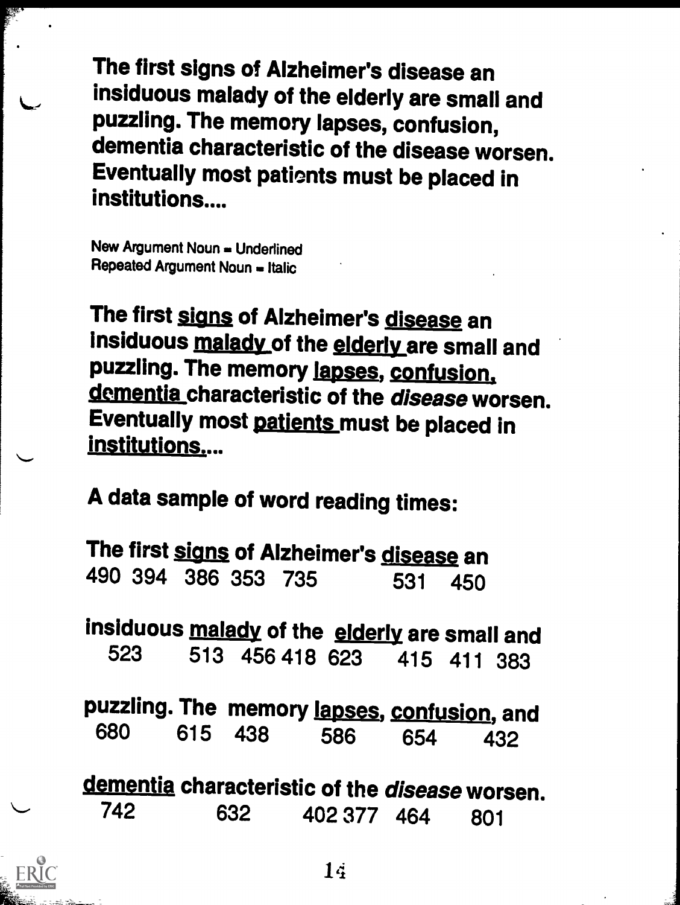The first signs of Alzheimer's disease an insiduous malady of the elderly are small and puzzling. The memory lapses, confusion, dementia characteristic of the disease worsen. Eventually most pationts must be placed in institutions....

New Argument Noun = Underlined Repeated Argument Noun = Italic

The first signs of Alzheimer's disease an insiduous malady of the elderly are small and puzzling. The memory lapses, confusion, dementia characteristic of the disease worsen. Eventually most patients must be placed in institutions....

A data sample of word reading times:

The first signs of Alzheimer's disease an 490 394 386 353 735 531 450

insiduous malady of the elderly are small and<br>523 513 456 418 623 415 411 383 513 456 418 623

puzzling. The memory lapses, confusion, and<br>680 615 438 586 654 430 680 615 438 586 654 432

dementia characteristic of the *disease* worsen.<br>742 632 402.377 464 801 402 377 464 801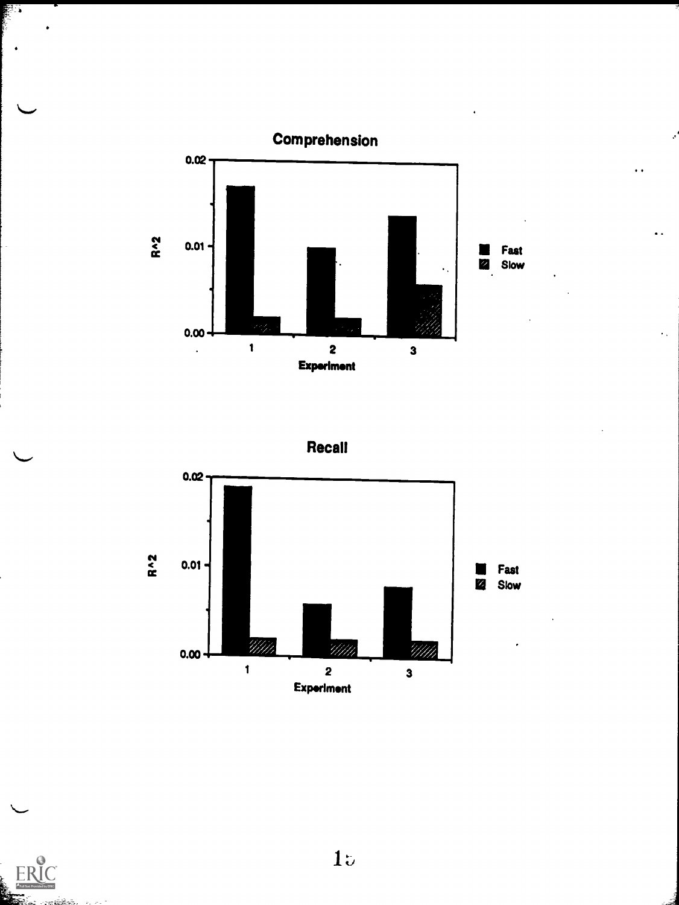

 $\ddot{\phantom{a}}$ 







₿. .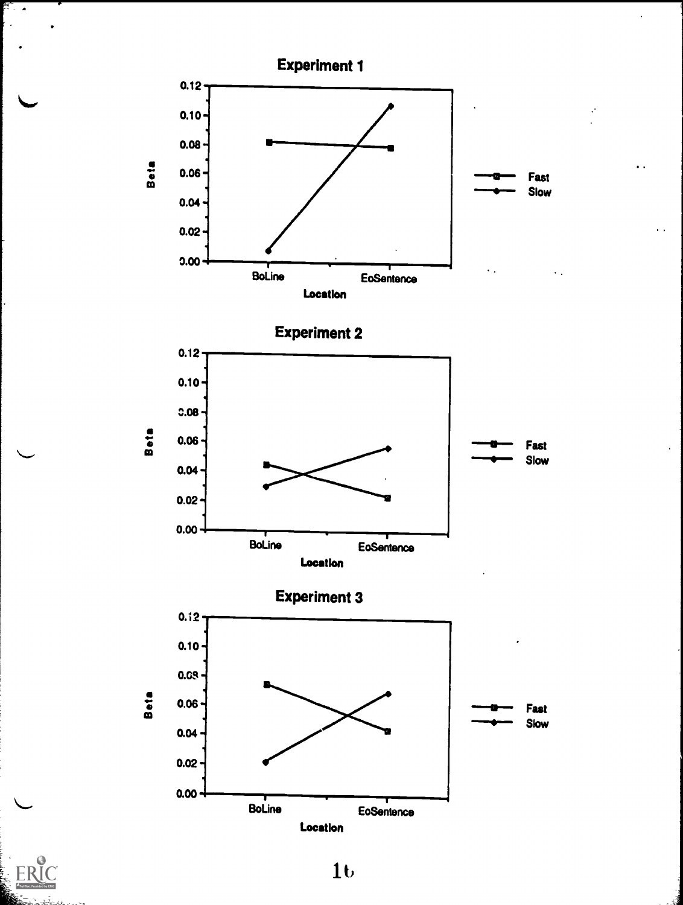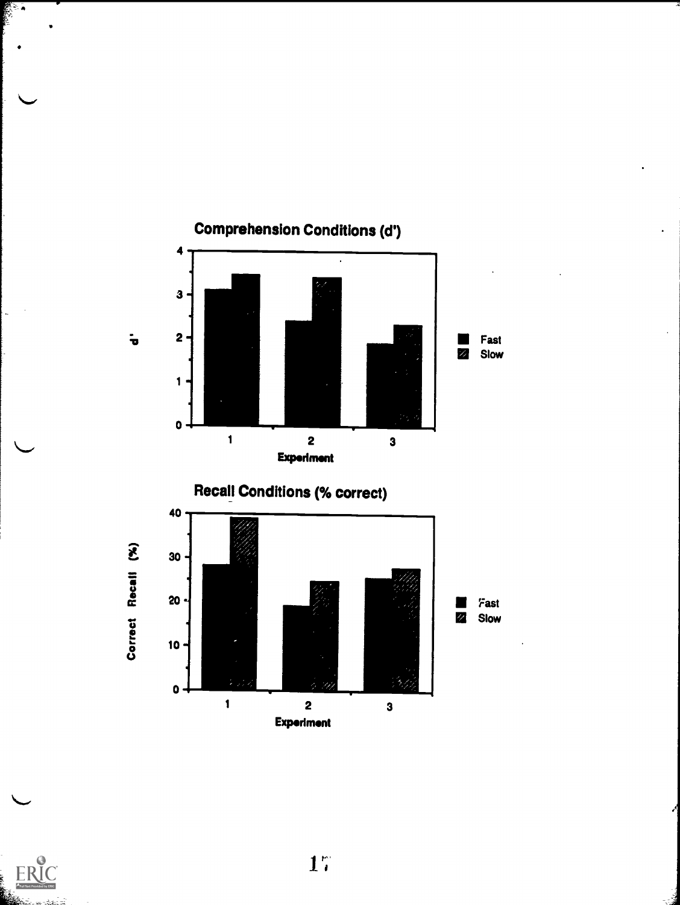

 $\sim$ 

E.

 $1<sup>th</sup>$ 

.,,